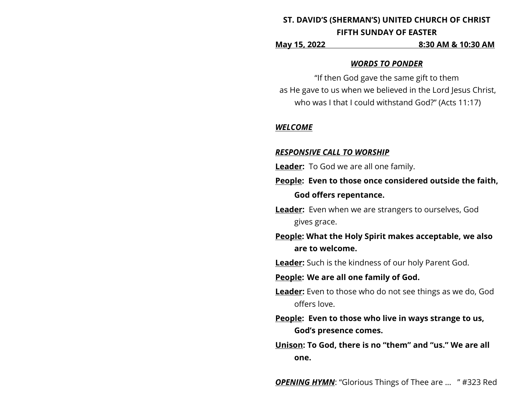# **ST. DAVID'S (SHERMAN'S) UNITED CHURCH OF CHRIST FIFTH SUNDAY OF EASTER**

**May 15, 2022 8:30 AM & 10:30 AM**

#### *WORDS TO PONDER*

"If then God gave the same gift to them as He gave to us when we believed in the Lord Jesus Christ, who was I that I could withstand God?" (Acts 11:17)

#### *WELCOME*

#### *RESPONSIVE CALL TO WORSHIP*

- **Leader:** To God we are all one family.
- **People: Even to those once considered outside the faith, God offers repentance.**
- **Leader:** Even when we are strangers to ourselves, God gives grace.
- **People: What the Holy Spirit makes acceptable, we also are to welcome.**

**Leader:** Such is the kindness of our holy Parent God.

# **People: We are all one family of God.**

- **Leader:** Even to those who do not see things as we do, God offers love.
- **People: Even to those who live in ways strange to us, God's presence comes.**
- **Unison: To God, there is no "them" and "us." We are all one.**